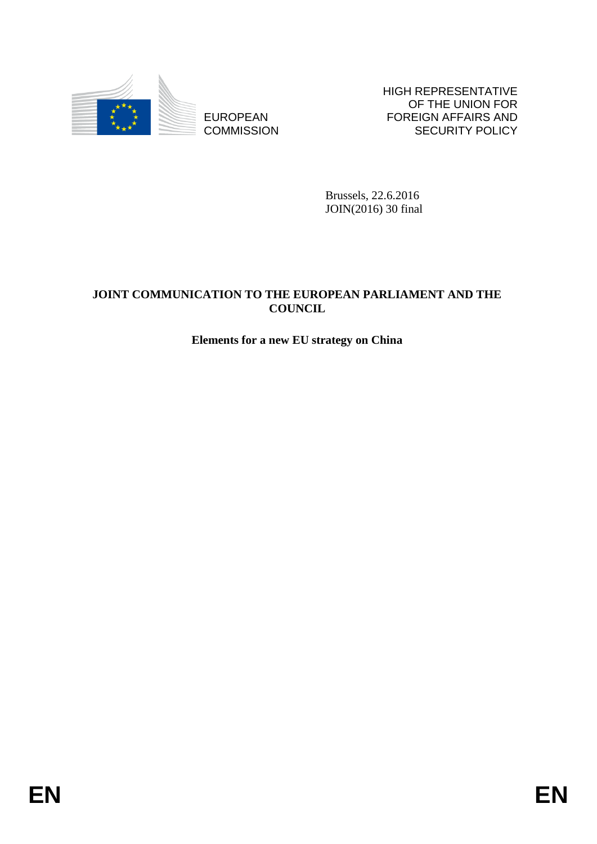

**COMMISSION** 

HIGH REPRESENTATIVE OF THE UNION FOR FOREIGN AFFAIRS AND SECURITY POLICY

Brussels, 22.6.2016 JOIN(2016) 30 final

# EUROPEAN<br>
EUROPEAN<br>
COMMISSION<br>
ENGEL, 22.4.2016<br>
Brussels, 22.4.2016<br>
Brussels, 22.4.2016<br>
BRUSSION<br>
BRUSSION<br>
BRUSSION<br>
BRUSSION<br>
ENGEL,<br>
ELEMENT SON ARCHER FOR A RANGER AND THE<br>
ELEMENT SON ARCHER YOURCH.<br>
ELEMENT SON A **JOINT COMMUNICATION TO THE EUROPEAN PARLIAMENT AND THE COUNCIL**

# **Elements for a new EU strategy on China**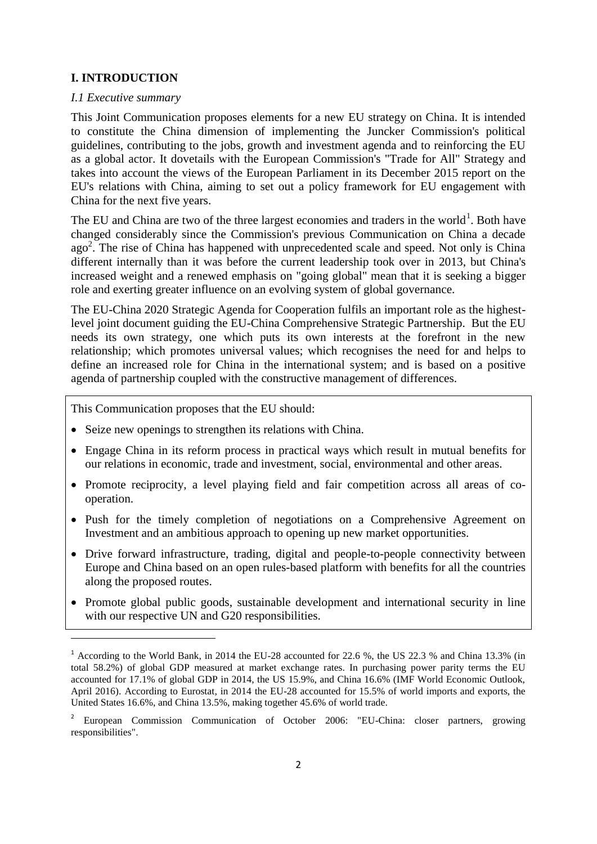# **I. INTRODUCTION**

## *I.1 Executive summary*

**.** 

This Joint Communication proposes elements for a new EU strategy on China. It is intended to constitute the China dimension of implementing the Juncker Commission's political guidelines, contributing to the jobs, growth and investment agenda and to reinforcing the EU as a global actor. It dovetails with the European Commission's "Trade for All" Strategy and takes into account the views of the European Parliament in its December 2015 report on the EU's relations with China, aiming to set out a policy framework for EU engagement with China for the next five years.

The EU and China are two of the three largest economies and traders in the world<sup>1</sup>. Both have changed considerably since the Commission's previous Communication on China a decade ago<sup>2</sup>. The rise of China has happened with unprecedented scale and speed. Not only is China different internally than it was before the current leadership took over in 2013, but China's increased weight and a renewed emphasis on "going global" mean that it is seeking a bigger role and exerting greater influence on an evolving system of global governance.

The EU-China 2020 Strategic Agenda for Cooperation fulfils an important role as the highestlevel joint document guiding the EU-China Comprehensive Strategic Partnership. But the EU needs its own strategy, one which puts its own interests at the forefront in the new relationship; which promotes universal values; which recognises the need for and helps to define an increased role for China in the international system; and is based on a positive agenda of partnership coupled with the constructive management of differences.

This Communication proposes that the EU should:

- Seize new openings to strengthen its relations with China.
- Engage China in its reform process in practical ways which result in mutual benefits for our relations in economic, trade and investment, social, environmental and other areas.
- Promote reciprocity, a level playing field and fair competition across all areas of cooperation.
- Push for the timely completion of negotiations on a Comprehensive Agreement on Investment and an ambitious approach to opening up new market opportunities.
- Drive forward infrastructure, trading, digital and people-to-people connectivity between Europe and China based on an open rules-based platform with benefits for all the countries along the proposed routes.
- Promote global public goods, sustainable development and international security in line with our respective UN and G20 responsibilities.

<sup>&</sup>lt;sup>1</sup> According to the World Bank, in 2014 the EU-28 accounted for 22.6 %, the US 22.3 % and China 13.3% (in total 58.2%) of global GDP measured at market exchange rates. In purchasing power parity terms the EU accounted for 17.1% of global GDP in 2014, the US 15.9%, and China 16.6% (IMF World Economic Outlook, April 2016). According to Eurostat, in 2014 the EU-28 accounted for 15.5% of world imports and exports, the United States 16.6%, and China 13.5%, making together 45.6% of world trade.

<sup>2</sup> European Commission Communication of October 2006: "EU-China: closer partners, growing responsibilities".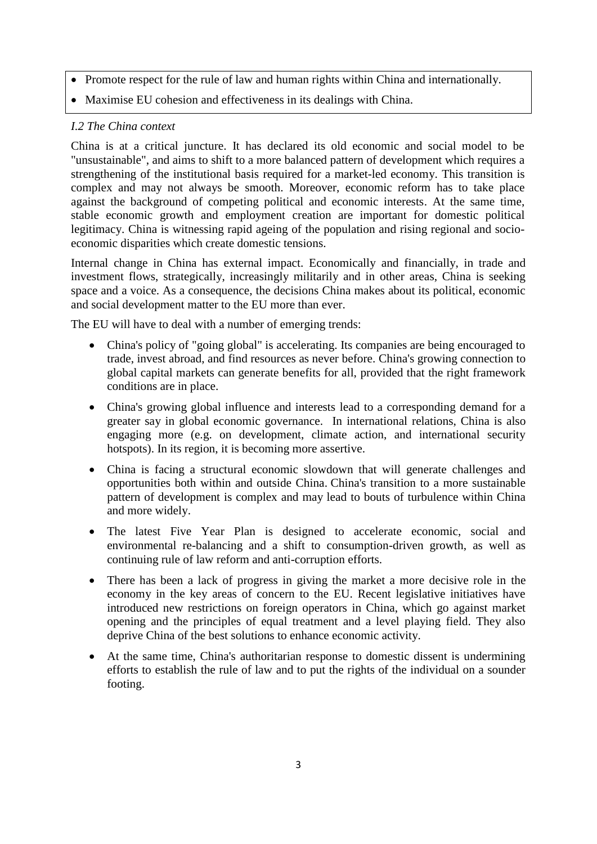- Promote respect for the rule of law and human rights within China and internationally.
- Maximise EU cohesion and effectiveness in its dealings with China.

# *I.2 The China context*

China is at a critical juncture. It has declared its old economic and social model to be "unsustainable", and aims to shift to a more balanced pattern of development which requires a strengthening of the institutional basis required for a market-led economy. This transition is complex and may not always be smooth. Moreover, economic reform has to take place against the background of competing political and economic interests. At the same time, stable economic growth and employment creation are important for domestic political legitimacy. China is witnessing rapid ageing of the population and rising regional and socioeconomic disparities which create domestic tensions.

Internal change in China has external impact. Economically and financially, in trade and investment flows, strategically, increasingly militarily and in other areas, China is seeking space and a voice. As a consequence, the decisions China makes about its political, economic and social development matter to the EU more than ever.

The EU will have to deal with a number of emerging trends:

- China's policy of "going global" is accelerating. Its companies are being encouraged to trade, invest abroad, and find resources as never before. China's growing connection to global capital markets can generate benefits for all, provided that the right framework conditions are in place.
- China's growing global influence and interests lead to a corresponding demand for a greater say in global economic governance. In international relations, China is also engaging more (e.g. on development, climate action, and international security hotspots). In its region, it is becoming more assertive.
- China is facing a structural economic slowdown that will generate challenges and opportunities both within and outside China. China's transition to a more sustainable pattern of development is complex and may lead to bouts of turbulence within China and more widely.
- The latest Five Year Plan is designed to accelerate economic, social and environmental re-balancing and a shift to consumption-driven growth, as well as continuing rule of law reform and anti-corruption efforts.
- There has been a lack of progress in giving the market a more decisive role in the economy in the key areas of concern to the EU. Recent legislative initiatives have introduced new restrictions on foreign operators in China, which go against market opening and the principles of equal treatment and a level playing field. They also deprive China of the best solutions to enhance economic activity.
- At the same time, China's authoritarian response to domestic dissent is undermining efforts to establish the rule of law and to put the rights of the individual on a sounder footing.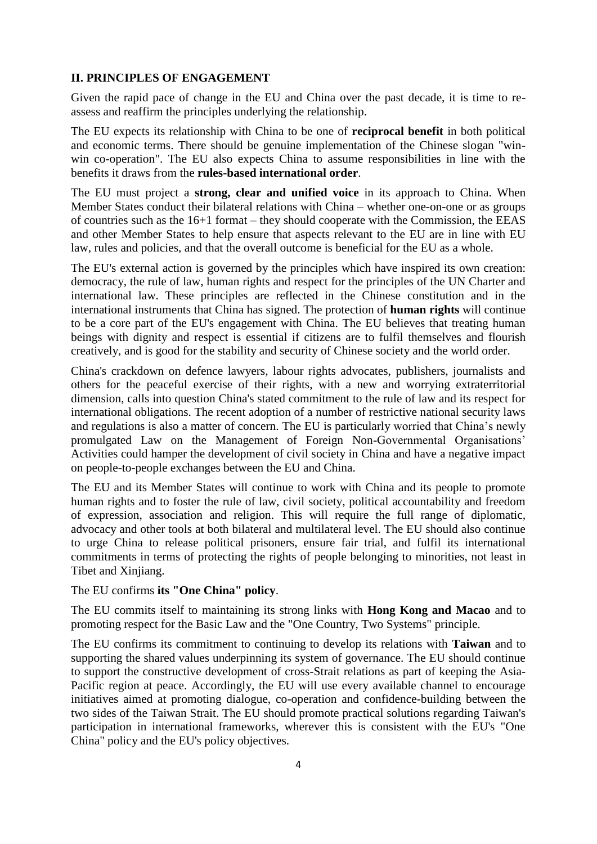# **II. PRINCIPLES OF ENGAGEMENT**

Given the rapid pace of change in the EU and China over the past decade, it is time to reassess and reaffirm the principles underlying the relationship.

The EU expects its relationship with China to be one of **reciprocal benefit** in both political and economic terms. There should be genuine implementation of the Chinese slogan "winwin co-operation". The EU also expects China to assume responsibilities in line with the benefits it draws from the **rules-based international order**.

The EU must project a **strong, clear and unified voice** in its approach to China. When Member States conduct their bilateral relations with China – whether one-on-one or as groups of countries such as the 16+1 format – they should cooperate with the Commission, the EEAS and other Member States to help ensure that aspects relevant to the EU are in line with EU law, rules and policies, and that the overall outcome is beneficial for the EU as a whole.

The EU's external action is governed by the principles which have inspired its own creation: democracy, the rule of law, human rights and respect for the principles of the UN Charter and international law. These principles are reflected in the Chinese constitution and in the international instruments that China has signed. The protection of **human rights** will continue to be a core part of the EU's engagement with China. The EU believes that treating human beings with dignity and respect is essential if citizens are to fulfil themselves and flourish creatively, and is good for the stability and security of Chinese society and the world order.

China's crackdown on defence lawyers, labour rights advocates, publishers, journalists and others for the peaceful exercise of their rights, with a new and worrying extraterritorial dimension, calls into question China's stated commitment to the rule of law and its respect for international obligations. The recent adoption of a number of restrictive national security laws and regulations is also a matter of concern. The EU is particularly worried that China's newly promulgated Law on the Management of Foreign Non-Governmental Organisations' Activities could hamper the development of civil society in China and have a negative impact on people-to-people exchanges between the EU and China.

The EU and its Member States will continue to work with China and its people to promote human rights and to foster the rule of law, civil society, political accountability and freedom of expression, association and religion. This will require the full range of diplomatic, advocacy and other tools at both bilateral and multilateral level. The EU should also continue to urge China to release political prisoners, ensure fair trial, and fulfil its international commitments in terms of protecting the rights of people belonging to minorities, not least in Tibet and Xinjiang.

The EU confirms **its "One China" policy**.

The EU commits itself to maintaining its strong links with **Hong Kong and Macao** and to promoting respect for the Basic Law and the "One Country, Two Systems" principle.

The EU confirms its commitment to continuing to develop its relations with **Taiwan** and to supporting the shared values underpinning its system of governance. The EU should continue to support the constructive development of cross-Strait relations as part of keeping the Asia-Pacific region at peace. Accordingly, the EU will use every available channel to encourage initiatives aimed at promoting dialogue, co-operation and confidence-building between the two sides of the Taiwan Strait. The EU should promote practical solutions regarding Taiwan's participation in international frameworks, wherever this is consistent with the EU's "One China" policy and the EU's policy objectives.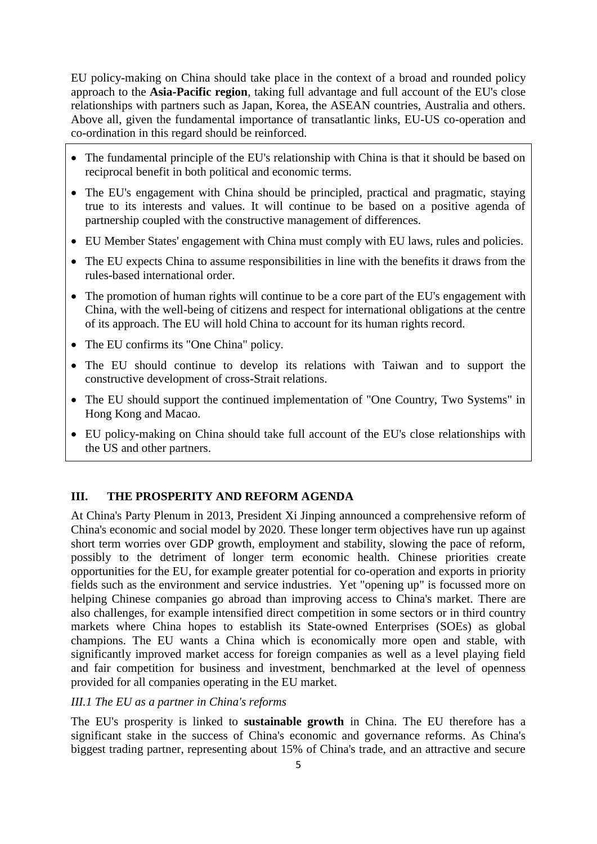EU policy-making on China should take place in the context of a broad and rounded policy approach to the **Asia-Pacific region**, taking full advantage and full account of the EU's close relationships with partners such as Japan, Korea, the ASEAN countries, Australia and others. Above all, given the fundamental importance of transatlantic links, EU-US co-operation and co-ordination in this regard should be reinforced.

- The fundamental principle of the EU's relationship with China is that it should be based on reciprocal benefit in both political and economic terms.
- The EU's engagement with China should be principled, practical and pragmatic, staying true to its interests and values. It will continue to be based on a positive agenda of partnership coupled with the constructive management of differences.
- EU Member States' engagement with China must comply with EU laws, rules and policies.
- The EU expects China to assume responsibilities in line with the benefits it draws from the rules-based international order.
- The promotion of human rights will continue to be a core part of the EU's engagement with China, with the well-being of citizens and respect for international obligations at the centre of its approach. The EU will hold China to account for its human rights record.
- The EU confirms its "One China" policy.
- The EU should continue to develop its relations with Taiwan and to support the constructive development of cross-Strait relations.
- The EU should support the continued implementation of "One Country, Two Systems" in Hong Kong and Macao.
- EU policy-making on China should take full account of the EU's close relationships with the US and other partners.

## **III. THE PROSPERITY AND REFORM AGENDA**

At China's Party Plenum in 2013, President Xi Jinping announced a comprehensive reform of China's economic and social model by 2020. These longer term objectives have run up against short term worries over GDP growth, employment and stability, slowing the pace of reform, possibly to the detriment of longer term economic health. Chinese priorities create opportunities for the EU, for example greater potential for co-operation and exports in priority fields such as the environment and service industries. Yet "opening up" is focussed more on helping Chinese companies go abroad than improving access to China's market. There are also challenges, for example intensified direct competition in some sectors or in third country markets where China hopes to establish its State-owned Enterprises (SOEs) as global champions. The EU wants a China which is economically more open and stable, with significantly improved market access for foreign companies as well as a level playing field and fair competition for business and investment, benchmarked at the level of openness provided for all companies operating in the EU market.

## *III.1 The EU as a partner in China's reforms*

The EU's prosperity is linked to **sustainable growth** in China. The EU therefore has a significant stake in the success of China's economic and governance reforms. As China's biggest trading partner, representing about 15% of China's trade, and an attractive and secure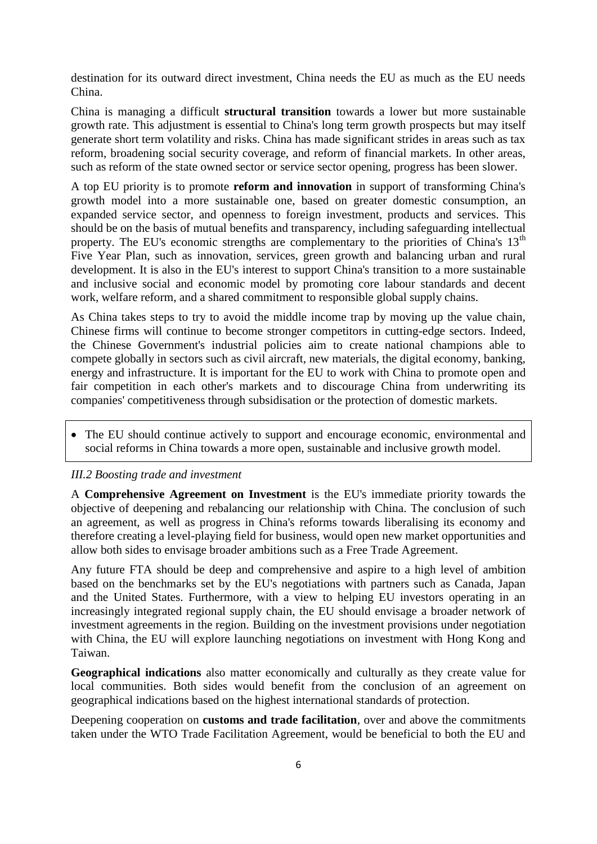destination for its outward direct investment, China needs the EU as much as the EU needs China.

China is managing a difficult **structural transition** towards a lower but more sustainable growth rate. This adjustment is essential to China's long term growth prospects but may itself generate short term volatility and risks. China has made significant strides in areas such as tax reform, broadening social security coverage, and reform of financial markets. In other areas, such as reform of the state owned sector or service sector opening, progress has been slower.

A top EU priority is to promote **reform and innovation** in support of transforming China's growth model into a more sustainable one, based on greater domestic consumption, an expanded service sector, and openness to foreign investment, products and services. This should be on the basis of mutual benefits and transparency, including safeguarding intellectual property. The EU's economic strengths are complementary to the priorities of China's  $13<sup>th</sup>$ Five Year Plan, such as innovation, services, green growth and balancing urban and rural development. It is also in the EU's interest to support China's transition to a more sustainable and inclusive social and economic model by promoting core labour standards and decent work, welfare reform, and a shared commitment to responsible global supply chains.

As China takes steps to try to avoid the middle income trap by moving up the value chain, Chinese firms will continue to become stronger competitors in cutting-edge sectors. Indeed, the Chinese Government's industrial policies aim to create national champions able to compete globally in sectors such as civil aircraft, new materials, the digital economy, banking, energy and infrastructure. It is important for the EU to work with China to promote open and fair competition in each other's markets and to discourage China from underwriting its companies' competitiveness through subsidisation or the protection of domestic markets.

 The EU should continue actively to support and encourage economic, environmental and social reforms in China towards a more open, sustainable and inclusive growth model.

#### *III.2 Boosting trade and investment*

A **Comprehensive Agreement on Investment** is the EU's immediate priority towards the objective of deepening and rebalancing our relationship with China. The conclusion of such an agreement, as well as progress in China's reforms towards liberalising its economy and therefore creating a level-playing field for business, would open new market opportunities and allow both sides to envisage broader ambitions such as a Free Trade Agreement.

Any future FTA should be deep and comprehensive and aspire to a high level of ambition based on the benchmarks set by the EU's negotiations with partners such as Canada, Japan and the United States. Furthermore, with a view to helping EU investors operating in an increasingly integrated regional supply chain, the EU should envisage a broader network of investment agreements in the region. Building on the investment provisions under negotiation with China, the EU will explore launching negotiations on investment with Hong Kong and Taiwan.

**Geographical indications** also matter economically and culturally as they create value for local communities. Both sides would benefit from the conclusion of an agreement on geographical indications based on the highest international standards of protection.

Deepening cooperation on **customs and trade facilitation**, over and above the commitments taken under the WTO Trade Facilitation Agreement, would be beneficial to both the EU and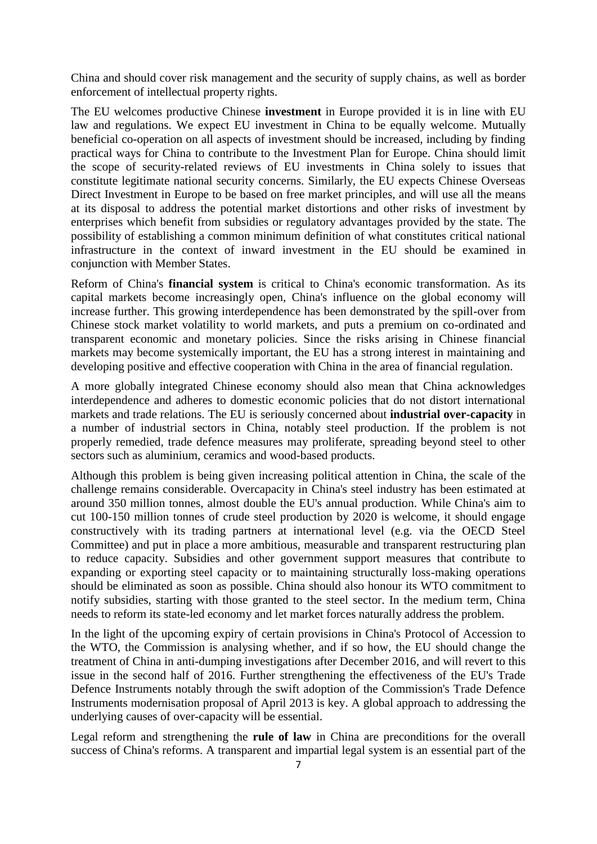China and should cover risk management and the security of supply chains, as well as border enforcement of intellectual property rights.

The EU welcomes productive Chinese **investment** in Europe provided it is in line with EU law and regulations. We expect EU investment in China to be equally welcome. Mutually beneficial co-operation on all aspects of investment should be increased, including by finding practical ways for China to contribute to the Investment Plan for Europe. China should limit the scope of security-related reviews of EU investments in China solely to issues that constitute legitimate national security concerns. Similarly, the EU expects Chinese Overseas Direct Investment in Europe to be based on free market principles, and will use all the means at its disposal to address the potential market distortions and other risks of investment by enterprises which benefit from subsidies or regulatory advantages provided by the state. The possibility of establishing a common minimum definition of what constitutes critical national infrastructure in the context of inward investment in the EU should be examined in conjunction with Member States.

Reform of China's **financial system** is critical to China's economic transformation. As its capital markets become increasingly open, China's influence on the global economy will increase further. This growing interdependence has been demonstrated by the spill-over from Chinese stock market volatility to world markets, and puts a premium on co-ordinated and transparent economic and monetary policies. Since the risks arising in Chinese financial markets may become systemically important, the EU has a strong interest in maintaining and developing positive and effective cooperation with China in the area of financial regulation.

A more globally integrated Chinese economy should also mean that China acknowledges interdependence and adheres to domestic economic policies that do not distort international markets and trade relations. The EU is seriously concerned about **industrial over-capacity** in a number of industrial sectors in China, notably steel production. If the problem is not properly remedied, trade defence measures may proliferate, spreading beyond steel to other sectors such as aluminium, ceramics and wood-based products.

Although this problem is being given increasing political attention in China, the scale of the challenge remains considerable. Overcapacity in China's steel industry has been estimated at around 350 million tonnes, almost double the EU's annual production. While China's aim to cut 100-150 million tonnes of crude steel production by 2020 is welcome, it should engage constructively with its trading partners at international level (e.g. via the OECD Steel Committee) and put in place a more ambitious, measurable and transparent restructuring plan to reduce capacity. Subsidies and other government support measures that contribute to expanding or exporting steel capacity or to maintaining structurally loss-making operations should be eliminated as soon as possible. China should also honour its WTO commitment to notify subsidies, starting with those granted to the steel sector. In the medium term, China needs to reform its state-led economy and let market forces naturally address the problem.

In the light of the upcoming expiry of certain provisions in China's Protocol of Accession to the WTO, the Commission is analysing whether, and if so how, the EU should change the treatment of China in anti-dumping investigations after December 2016, and will revert to this issue in the second half of 2016. Further strengthening the effectiveness of the EU's Trade Defence Instruments notably through the swift adoption of the Commission's Trade Defence Instruments modernisation proposal of April 2013 is key. A global approach to addressing the underlying causes of over-capacity will be essential.

Legal reform and strengthening the **rule of law** in China are preconditions for the overall success of China's reforms. A transparent and impartial legal system is an essential part of the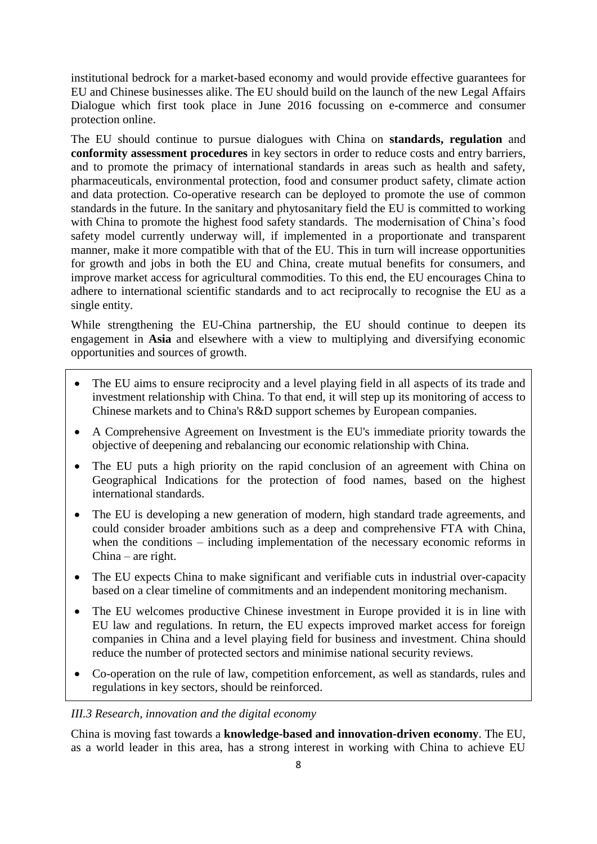institutional bedrock for a market-based economy and would provide effective guarantees for EU and Chinese businesses alike. The EU should build on the launch of the new Legal Affairs Dialogue which first took place in June 2016 focussing on e-commerce and consumer protection online.

The EU should continue to pursue dialogues with China on **standards, regulation** and **conformity assessment procedures** in key sectors in order to reduce costs and entry barriers, and to promote the primacy of international standards in areas such as health and safety, pharmaceuticals, environmental protection, food and consumer product safety, climate action and data protection. Co-operative research can be deployed to promote the use of common standards in the future. In the sanitary and phytosanitary field the EU is committed to working with China to promote the highest food safety standards. The modernisation of China's food safety model currently underway will, if implemented in a proportionate and transparent manner, make it more compatible with that of the EU. This in turn will increase opportunities for growth and jobs in both the EU and China, create mutual benefits for consumers, and improve market access for agricultural commodities. To this end, the EU encourages China to adhere to international scientific standards and to act reciprocally to recognise the EU as a single entity.

While strengthening the EU-China partnership, the EU should continue to deepen its engagement in **Asia** and elsewhere with a view to multiplying and diversifying economic opportunities and sources of growth.

- The EU aims to ensure reciprocity and a level playing field in all aspects of its trade and investment relationship with China. To that end, it will step up its monitoring of access to Chinese markets and to China's R&D support schemes by European companies.
- A Comprehensive Agreement on Investment is the EU's immediate priority towards the objective of deepening and rebalancing our economic relationship with China.
- The EU puts a high priority on the rapid conclusion of an agreement with China on Geographical Indications for the protection of food names, based on the highest international standards.
- The EU is developing a new generation of modern, high standard trade agreements, and could consider broader ambitions such as a deep and comprehensive FTA with China, when the conditions – including implementation of the necessary economic reforms in China – are right.
- The EU expects China to make significant and verifiable cuts in industrial over-capacity based on a clear timeline of commitments and an independent monitoring mechanism.
- The EU welcomes productive Chinese investment in Europe provided it is in line with EU law and regulations. In return, the EU expects improved market access for foreign companies in China and a level playing field for business and investment. China should reduce the number of protected sectors and minimise national security reviews.
- Co-operation on the rule of law, competition enforcement, as well as standards, rules and regulations in key sectors, should be reinforced.

## *III.3 Research, innovation and the digital economy*

China is moving fast towards a **knowledge-based and innovation-driven economy**. The EU, as a world leader in this area, has a strong interest in working with China to achieve EU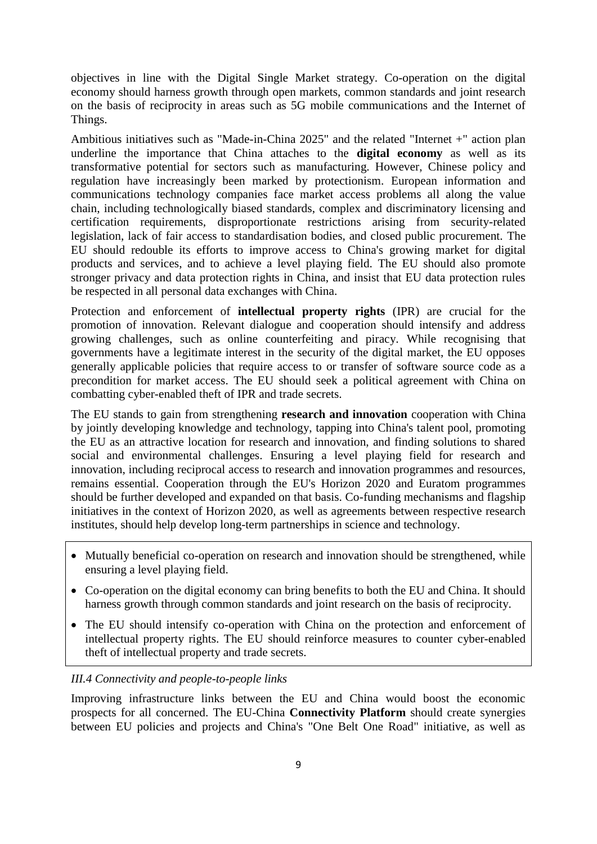objectives in line with the Digital Single Market strategy. Co-operation on the digital economy should harness growth through open markets, common standards and joint research on the basis of reciprocity in areas such as 5G mobile communications and the Internet of Things.

Ambitious initiatives such as "Made-in-China 2025" and the related "Internet +" action plan underline the importance that China attaches to the **digital economy** as well as its transformative potential for sectors such as manufacturing. However, Chinese policy and regulation have increasingly been marked by protectionism. European information and communications technology companies face market access problems all along the value chain, including technologically biased standards, complex and discriminatory licensing and certification requirements, disproportionate restrictions arising from security-related legislation, lack of fair access to standardisation bodies, and closed public procurement. The EU should redouble its efforts to improve access to China's growing market for digital products and services, and to achieve a level playing field. The EU should also promote stronger privacy and data protection rights in China, and insist that EU data protection rules be respected in all personal data exchanges with China.

Protection and enforcement of **intellectual property rights** (IPR) are crucial for the promotion of innovation. Relevant dialogue and cooperation should intensify and address growing challenges, such as online counterfeiting and piracy. While recognising that governments have a legitimate interest in the security of the digital market, the EU opposes generally applicable policies that require access to or transfer of software source code as a precondition for market access. The EU should seek a political agreement with China on combatting cyber-enabled theft of IPR and trade secrets.

The EU stands to gain from strengthening **research and innovation** cooperation with China by jointly developing knowledge and technology, tapping into China's talent pool, promoting the EU as an attractive location for research and innovation, and finding solutions to shared social and environmental challenges. Ensuring a level playing field for research and innovation, including reciprocal access to research and innovation programmes and resources, remains essential. Cooperation through the EU's Horizon 2020 and Euratom programmes should be further developed and expanded on that basis. Co-funding mechanisms and flagship initiatives in the context of Horizon 2020, as well as agreements between respective research institutes, should help develop long-term partnerships in science and technology.

- Mutually beneficial co-operation on research and innovation should be strengthened, while ensuring a level playing field.
- Co-operation on the digital economy can bring benefits to both the EU and China. It should harness growth through common standards and joint research on the basis of reciprocity.
- The EU should intensify co-operation with China on the protection and enforcement of intellectual property rights. The EU should reinforce measures to counter cyber-enabled theft of intellectual property and trade secrets.

# *III.4 Connectivity and people-to-people links*

Improving infrastructure links between the EU and China would boost the economic prospects for all concerned. The EU-China **Connectivity Platform** should create synergies between EU policies and projects and China's "One Belt One Road" initiative, as well as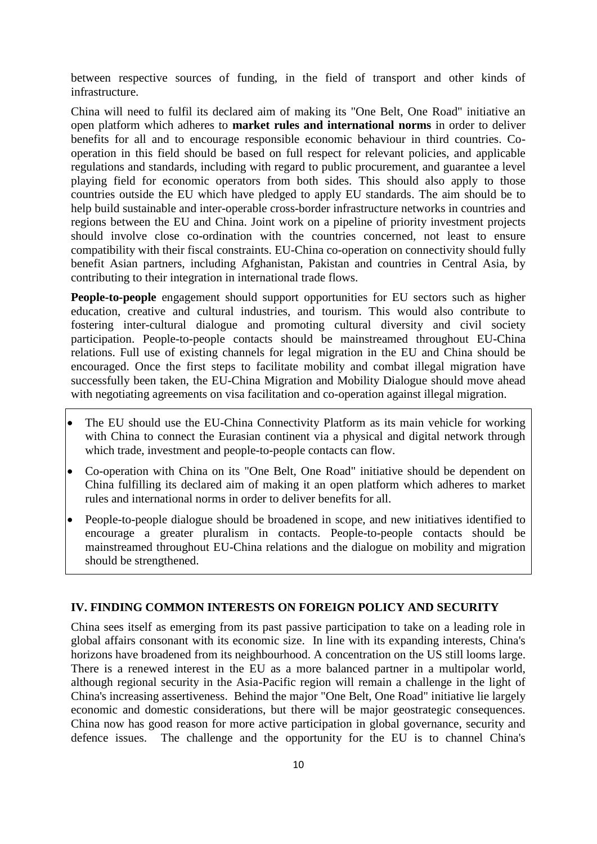between respective sources of funding, in the field of transport and other kinds of infrastructure.

China will need to fulfil its declared aim of making its "One Belt, One Road" initiative an open platform which adheres to **market rules and international norms** in order to deliver benefits for all and to encourage responsible economic behaviour in third countries. Cooperation in this field should be based on full respect for relevant policies, and applicable regulations and standards, including with regard to public procurement, and guarantee a level playing field for economic operators from both sides. This should also apply to those countries outside the EU which have pledged to apply EU standards. The aim should be to help build sustainable and inter-operable cross-border infrastructure networks in countries and regions between the EU and China. Joint work on a pipeline of priority investment projects should involve close co-ordination with the countries concerned, not least to ensure compatibility with their fiscal constraints. EU-China co-operation on connectivity should fully benefit Asian partners, including Afghanistan, Pakistan and countries in Central Asia, by contributing to their integration in international trade flows.

**People-to-people** engagement should support opportunities for EU sectors such as higher education, creative and cultural industries, and tourism. This would also contribute to fostering inter-cultural dialogue and promoting cultural diversity and civil society participation. People-to-people contacts should be mainstreamed throughout EU-China relations. Full use of existing channels for legal migration in the EU and China should be encouraged. Once the first steps to facilitate mobility and combat illegal migration have successfully been taken, the EU-China Migration and Mobility Dialogue should move ahead with negotiating agreements on visa facilitation and co-operation against illegal migration.

- The EU should use the EU-China Connectivity Platform as its main vehicle for working with China to connect the Eurasian continent via a physical and digital network through which trade, investment and people-to-people contacts can flow.
- Co-operation with China on its "One Belt, One Road" initiative should be dependent on China fulfilling its declared aim of making it an open platform which adheres to market rules and international norms in order to deliver benefits for all.
- People-to-people dialogue should be broadened in scope, and new initiatives identified to encourage a greater pluralism in contacts. People-to-people contacts should be mainstreamed throughout EU-China relations and the dialogue on mobility and migration should be strengthened.

#### **IV. FINDING COMMON INTERESTS ON FOREIGN POLICY AND SECURITY**

China sees itself as emerging from its past passive participation to take on a leading role in global affairs consonant with its economic size. In line with its expanding interests, China's horizons have broadened from its neighbourhood. A concentration on the US still looms large. There is a renewed interest in the EU as a more balanced partner in a multipolar world, although regional security in the Asia-Pacific region will remain a challenge in the light of China's increasing assertiveness. Behind the major "One Belt, One Road" initiative lie largely economic and domestic considerations, but there will be major geostrategic consequences. China now has good reason for more active participation in global governance, security and defence issues. The challenge and the opportunity for the EU is to channel China's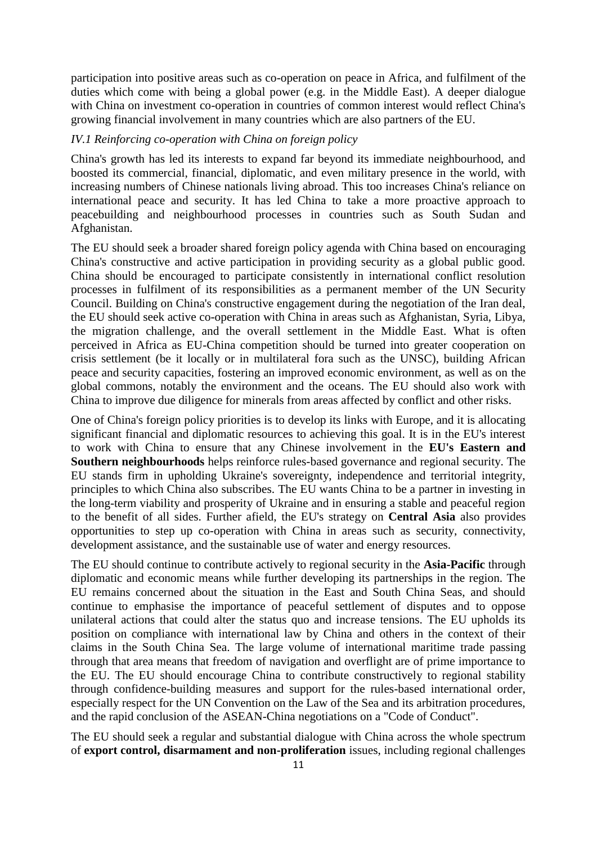participation into positive areas such as co-operation on peace in Africa, and fulfilment of the duties which come with being a global power (e.g. in the Middle East). A deeper dialogue with China on investment co-operation in countries of common interest would reflect China's growing financial involvement in many countries which are also partners of the EU.

## *IV.1 Reinforcing co-operation with China on foreign policy*

China's growth has led its interests to expand far beyond its immediate neighbourhood, and boosted its commercial, financial, diplomatic, and even military presence in the world, with increasing numbers of Chinese nationals living abroad. This too increases China's reliance on international peace and security. It has led China to take a more proactive approach to peacebuilding and neighbourhood processes in countries such as South Sudan and Afghanistan.

The EU should seek a broader shared foreign policy agenda with China based on encouraging China's constructive and active participation in providing security as a global public good. China should be encouraged to participate consistently in international conflict resolution processes in fulfilment of its responsibilities as a permanent member of the UN Security Council. Building on China's constructive engagement during the negotiation of the Iran deal, the EU should seek active co-operation with China in areas such as Afghanistan, Syria, Libya, the migration challenge, and the overall settlement in the Middle East. What is often perceived in Africa as EU-China competition should be turned into greater cooperation on crisis settlement (be it locally or in multilateral fora such as the UNSC), building African peace and security capacities, fostering an improved economic environment, as well as on the global commons, notably the environment and the oceans. The EU should also work with China to improve due diligence for minerals from areas affected by conflict and other risks.

One of China's foreign policy priorities is to develop its links with Europe, and it is allocating significant financial and diplomatic resources to achieving this goal. It is in the EU's interest to work with China to ensure that any Chinese involvement in the **EU's Eastern and Southern neighbourhoods** helps reinforce rules-based governance and regional security. The EU stands firm in upholding Ukraine's sovereignty, independence and territorial integrity, principles to which China also subscribes. The EU wants China to be a partner in investing in the long-term viability and prosperity of Ukraine and in ensuring a stable and peaceful region to the benefit of all sides. Further afield, the EU's strategy on **Central Asia** also provides opportunities to step up co-operation with China in areas such as security, connectivity, development assistance, and the sustainable use of water and energy resources.

The EU should continue to contribute actively to regional security in the **Asia-Pacific** through diplomatic and economic means while further developing its partnerships in the region. The EU remains concerned about the situation in the East and South China Seas, and should continue to emphasise the importance of peaceful settlement of disputes and to oppose unilateral actions that could alter the status quo and increase tensions. The EU upholds its position on compliance with international law by China and others in the context of their claims in the South China Sea. The large volume of international maritime trade passing through that area means that freedom of navigation and overflight are of prime importance to the EU. The EU should encourage China to contribute constructively to regional stability through confidence-building measures and support for the rules-based international order, especially respect for the UN Convention on the Law of the Sea and its arbitration procedures, and the rapid conclusion of the ASEAN-China negotiations on a "Code of Conduct".

The EU should seek a regular and substantial dialogue with China across the whole spectrum of **export control, disarmament and non-proliferation** issues, including regional challenges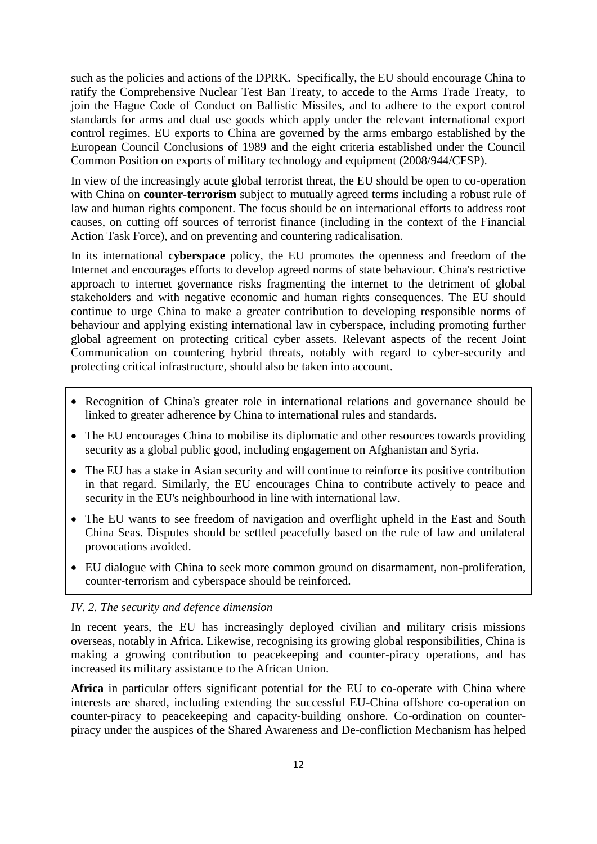such as the policies and actions of the DPRK. Specifically, the EU should encourage China to ratify the Comprehensive Nuclear Test Ban Treaty, to accede to the Arms Trade Treaty, to join the Hague Code of Conduct on Ballistic Missiles, and to adhere to the export control standards for arms and dual use goods which apply under the relevant international export control regimes. EU exports to China are governed by the arms embargo established by the European Council Conclusions of 1989 and the eight criteria established under the Council Common Position on exports of military technology and equipment (2008/944/CFSP).

In view of the increasingly acute global terrorist threat, the EU should be open to co-operation with China on **counter-terrorism** subject to mutually agreed terms including a robust rule of law and human rights component. The focus should be on international efforts to address root causes, on cutting off sources of terrorist finance (including in the context of the Financial Action Task Force), and on preventing and countering radicalisation.

In its international **cyberspace** policy, the EU promotes the openness and freedom of the Internet and encourages efforts to develop agreed norms of state behaviour. China's restrictive approach to internet governance risks fragmenting the internet to the detriment of global stakeholders and with negative economic and human rights consequences. The EU should continue to urge China to make a greater contribution to developing responsible norms of behaviour and applying existing international law in cyberspace, including promoting further global agreement on protecting critical cyber assets. Relevant aspects of the recent Joint Communication on countering hybrid threats, notably with regard to cyber-security and protecting critical infrastructure, should also be taken into account.

- Recognition of China's greater role in international relations and governance should be linked to greater adherence by China to international rules and standards.
- The EU encourages China to mobilise its diplomatic and other resources towards providing security as a global public good, including engagement on Afghanistan and Syria.
- The EU has a stake in Asian security and will continue to reinforce its positive contribution in that regard. Similarly, the EU encourages China to contribute actively to peace and security in the EU's neighbourhood in line with international law.
- The EU wants to see freedom of navigation and overflight upheld in the East and South China Seas. Disputes should be settled peacefully based on the rule of law and unilateral provocations avoided.
- EU dialogue with China to seek more common ground on disarmament, non-proliferation, counter-terrorism and cyberspace should be reinforced.

## *IV. 2. The security and defence dimension*

In recent years, the EU has increasingly deployed civilian and military crisis missions overseas, notably in Africa. Likewise, recognising its growing global responsibilities, China is making a growing contribution to peacekeeping and counter-piracy operations, and has increased its military assistance to the African Union.

Africa in particular offers significant potential for the EU to co-operate with China where interests are shared, including extending the successful EU-China offshore co-operation on counter-piracy to peacekeeping and capacity-building onshore. Co-ordination on counterpiracy under the auspices of the Shared Awareness and De-confliction Mechanism has helped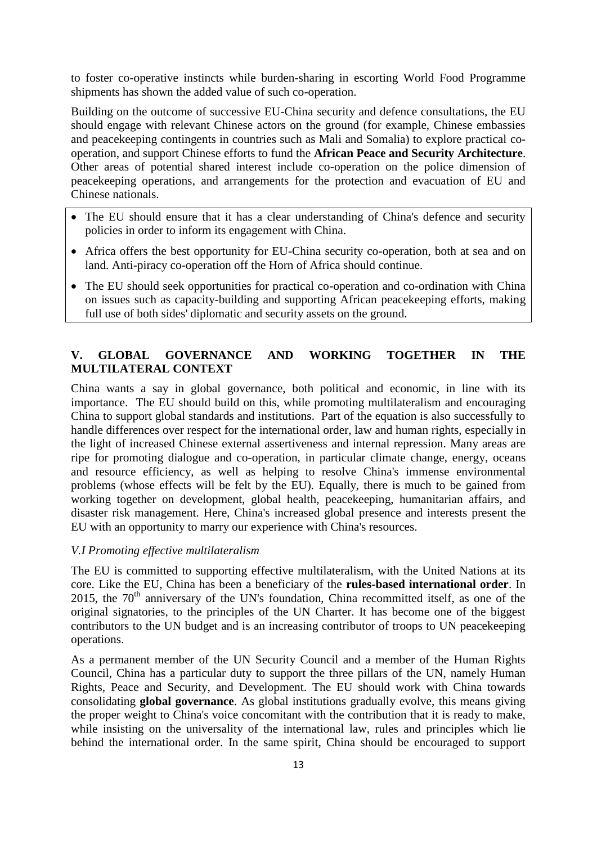to foster co-operative instincts while burden-sharing in escorting World Food Programme shipments has shown the added value of such co-operation.

Building on the outcome of successive EU-China security and defence consultations, the EU should engage with relevant Chinese actors on the ground (for example, Chinese embassies and peacekeeping contingents in countries such as Mali and Somalia) to explore practical cooperation, and support Chinese efforts to fund the **African Peace and Security Architecture**. Other areas of potential shared interest include co-operation on the police dimension of peacekeeping operations, and arrangements for the protection and evacuation of EU and Chinese nationals.

- The EU should ensure that it has a clear understanding of China's defence and security policies in order to inform its engagement with China.
- Africa offers the best opportunity for EU-China security co-operation, both at sea and on land. Anti-piracy co-operation off the Horn of Africa should continue.
- The EU should seek opportunities for practical co-operation and co-ordination with China on issues such as capacity-building and supporting African peacekeeping efforts, making full use of both sides' diplomatic and security assets on the ground.

# **V. GLOBAL GOVERNANCE AND WORKING TOGETHER IN THE MULTILATERAL CONTEXT**

China wants a say in global governance, both political and economic, in line with its importance. The EU should build on this, while promoting multilateralism and encouraging China to support global standards and institutions. Part of the equation is also successfully to handle differences over respect for the international order, law and human rights, especially in the light of increased Chinese external assertiveness and internal repression. Many areas are ripe for promoting dialogue and co-operation, in particular climate change, energy, oceans and resource efficiency, as well as helping to resolve China's immense environmental problems (whose effects will be felt by the EU). Equally, there is much to be gained from working together on development, global health, peacekeeping, humanitarian affairs, and disaster risk management. Here, China's increased global presence and interests present the EU with an opportunity to marry our experience with China's resources.

## *V.I Promoting effective multilateralism*

The EU is committed to supporting effective multilateralism, with the United Nations at its core. Like the EU, China has been a beneficiary of the **rules-based international order**. In 2015, the  $70<sup>th</sup>$  anniversary of the UN's foundation, China recommitted itself, as one of the original signatories, to the principles of the UN Charter. It has become one of the biggest contributors to the UN budget and is an increasing contributor of troops to UN peacekeeping operations.

As a permanent member of the UN Security Council and a member of the Human Rights Council, China has a particular duty to support the three pillars of the UN, namely Human Rights, Peace and Security, and Development. The EU should work with China towards consolidating **global governance**. As global institutions gradually evolve, this means giving the proper weight to China's voice concomitant with the contribution that it is ready to make, while insisting on the universality of the international law, rules and principles which lie behind the international order. In the same spirit, China should be encouraged to support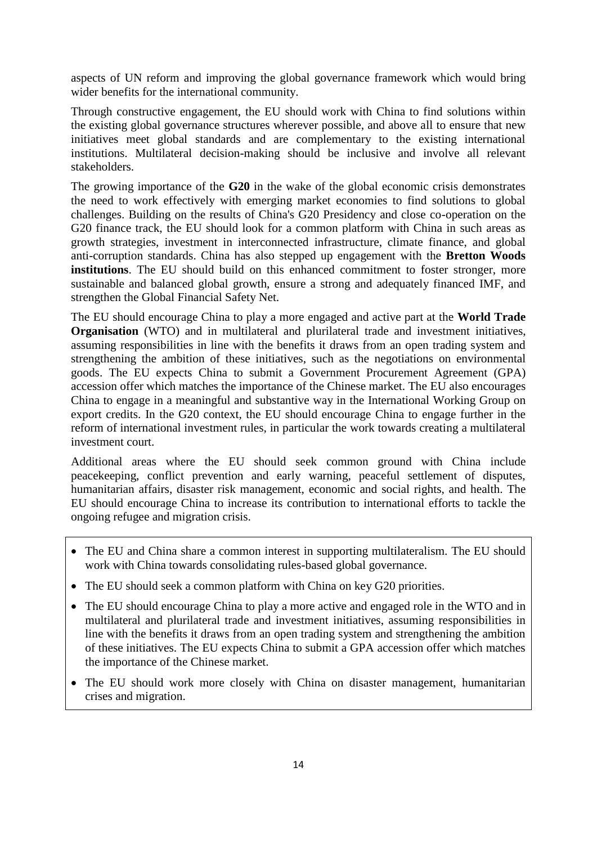aspects of UN reform and improving the global governance framework which would bring wider benefits for the international community.

Through constructive engagement, the EU should work with China to find solutions within the existing global governance structures wherever possible, and above all to ensure that new initiatives meet global standards and are complementary to the existing international institutions. Multilateral decision-making should be inclusive and involve all relevant stakeholders.

The growing importance of the **G20** in the wake of the global economic crisis demonstrates the need to work effectively with emerging market economies to find solutions to global challenges. Building on the results of China's G20 Presidency and close co-operation on the G20 finance track, the EU should look for a common platform with China in such areas as growth strategies, investment in interconnected infrastructure, climate finance, and global anti-corruption standards. China has also stepped up engagement with the **Bretton Woods institutions**. The EU should build on this enhanced commitment to foster stronger, more sustainable and balanced global growth, ensure a strong and adequately financed IMF, and strengthen the Global Financial Safety Net.

The EU should encourage China to play a more engaged and active part at the **World Trade Organisation** (WTO) and in multilateral and plurilateral trade and investment initiatives, assuming responsibilities in line with the benefits it draws from an open trading system and strengthening the ambition of these initiatives, such as the negotiations on environmental goods. The EU expects China to submit a Government Procurement Agreement (GPA) accession offer which matches the importance of the Chinese market. The EU also encourages China to engage in a meaningful and substantive way in the International Working Group on export credits. In the G20 context, the EU should encourage China to engage further in the reform of international investment rules, in particular the work towards creating a multilateral investment court.

Additional areas where the EU should seek common ground with China include peacekeeping, conflict prevention and early warning, peaceful settlement of disputes, humanitarian affairs, disaster risk management, economic and social rights, and health. The EU should encourage China to increase its contribution to international efforts to tackle the ongoing refugee and migration crisis.

- The EU and China share a common interest in supporting multilateralism. The EU should work with China towards consolidating rules-based global governance.
- The EU should seek a common platform with China on key G20 priorities.
- The EU should encourage China to play a more active and engaged role in the WTO and in multilateral and plurilateral trade and investment initiatives, assuming responsibilities in line with the benefits it draws from an open trading system and strengthening the ambition of these initiatives. The EU expects China to submit a GPA accession offer which matches the importance of the Chinese market.
- The EU should work more closely with China on disaster management, humanitarian crises and migration.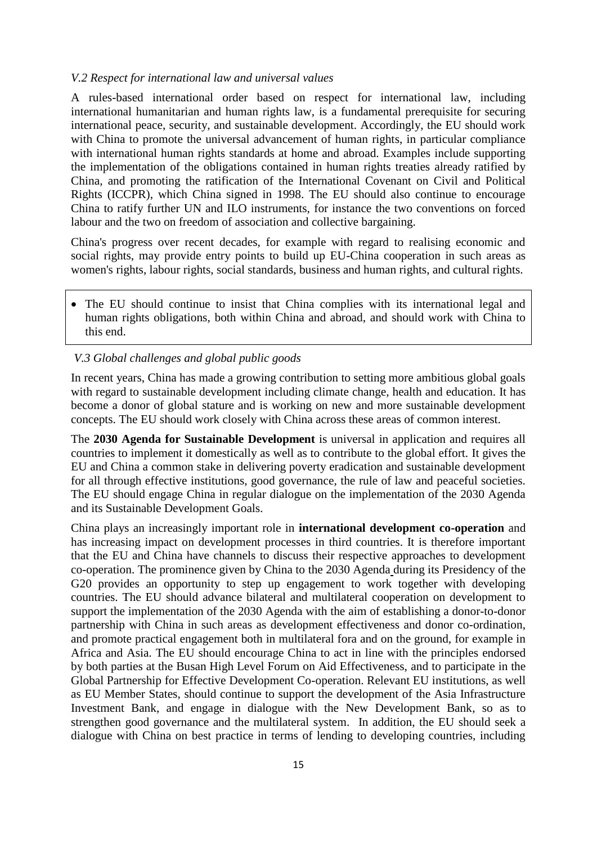#### *V.2 Respect for international law and universal values*

A rules-based international order based on respect for international law, including international humanitarian and human rights law, is a fundamental prerequisite for securing international peace, security, and sustainable development. Accordingly, the EU should work with China to promote the universal advancement of human rights, in particular compliance with international human rights standards at home and abroad. Examples include supporting the implementation of the obligations contained in human rights treaties already ratified by China, and promoting the ratification of the International Covenant on Civil and Political Rights (ICCPR), which China signed in 1998. The EU should also continue to encourage China to ratify further UN and ILO instruments, for instance the two conventions on forced labour and the two on freedom of association and collective bargaining.

China's progress over recent decades, for example with regard to realising economic and social rights, may provide entry points to build up EU-China cooperation in such areas as women's rights, labour rights, social standards, business and human rights, and cultural rights.

 The EU should continue to insist that China complies with its international legal and human rights obligations, both within China and abroad, and should work with China to this end.

### *V.3 Global challenges and global public goods*

In recent years, China has made a growing contribution to setting more ambitious global goals with regard to sustainable development including climate change, health and education. It has become a donor of global stature and is working on new and more sustainable development concepts. The EU should work closely with China across these areas of common interest.

The **2030 Agenda for Sustainable Development** is universal in application and requires all countries to implement it domestically as well as to contribute to the global effort. It gives the EU and China a common stake in delivering poverty eradication and sustainable development for all through effective institutions, good governance, the rule of law and peaceful societies. The EU should engage China in regular dialogue on the implementation of the 2030 Agenda and its Sustainable Development Goals.

China plays an increasingly important role in **international development co-operation** and has increasing impact on development processes in third countries. It is therefore important that the EU and China have channels to discuss their respective approaches to development co-operation. The prominence given by China to the 2030 Agenda during its Presidency of the G20 provides an opportunity to step up engagement to work together with developing countries. The EU should advance bilateral and multilateral cooperation on development to support the implementation of the 2030 Agenda with the aim of establishing a donor-to-donor partnership with China in such areas as development effectiveness and donor co-ordination, and promote practical engagement both in multilateral fora and on the ground, for example in Africa and Asia. The EU should encourage China to act in line with the principles endorsed by both parties at the Busan High Level Forum on Aid Effectiveness, and to participate in the Global Partnership for Effective Development Co-operation. Relevant EU institutions, as well as EU Member States, should continue to support the development of the Asia Infrastructure Investment Bank, and engage in dialogue with the New Development Bank, so as to strengthen good governance and the multilateral system. In addition, the EU should seek a dialogue with China on best practice in terms of lending to developing countries, including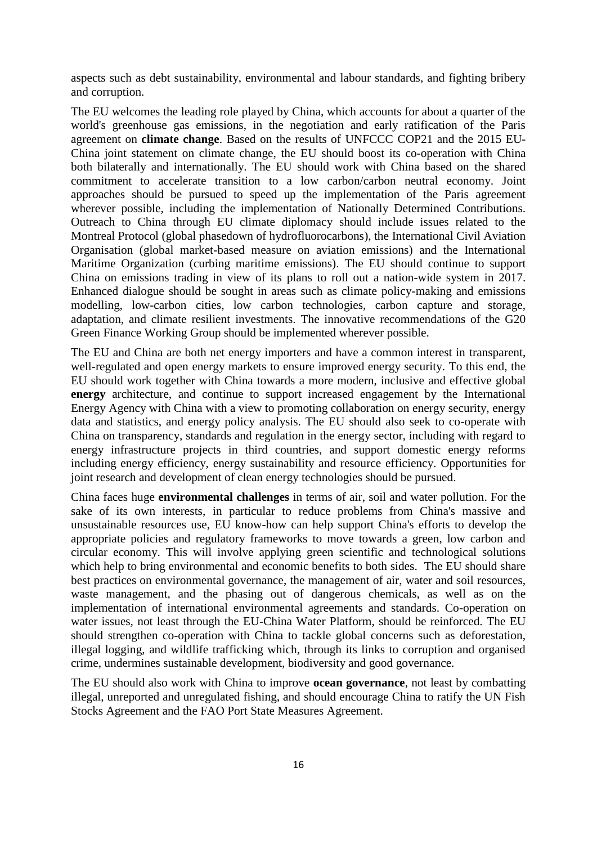aspects such as debt sustainability, environmental and labour standards, and fighting bribery and corruption.

The EU welcomes the leading role played by China, which accounts for about a quarter of the world's greenhouse gas emissions, in the negotiation and early ratification of the Paris agreement on **climate change**. Based on the results of UNFCCC COP21 and the 2015 EU-China joint statement on climate change, the EU should boost its co-operation with China both bilaterally and internationally. The EU should work with China based on the shared commitment to accelerate transition to a low carbon/carbon neutral economy. Joint approaches should be pursued to speed up the implementation of the Paris agreement wherever possible, including the implementation of Nationally Determined Contributions. Outreach to China through EU climate diplomacy should include issues related to the Montreal Protocol (global phasedown of hydrofluorocarbons), the International Civil Aviation Organisation (global market-based measure on aviation emissions) and the International Maritime Organization (curbing maritime emissions). The EU should continue to support China on emissions trading in view of its plans to roll out a nation-wide system in 2017. Enhanced dialogue should be sought in areas such as climate policy-making and emissions modelling, low-carbon cities, low carbon technologies, carbon capture and storage, adaptation, and climate resilient investments. The innovative recommendations of the G20 Green Finance Working Group should be implemented wherever possible.

The EU and China are both net energy importers and have a common interest in transparent, well-regulated and open energy markets to ensure improved energy security. To this end, the EU should work together with China towards a more modern, inclusive and effective global **energy** architecture, and continue to support increased engagement by the International Energy Agency with China with a view to promoting collaboration on energy security, energy data and statistics, and energy policy analysis. The EU should also seek to co-operate with China on transparency, standards and regulation in the energy sector, including with regard to energy infrastructure projects in third countries, and support domestic energy reforms including energy efficiency, energy sustainability and resource efficiency. Opportunities for joint research and development of clean energy technologies should be pursued.

China faces huge **environmental challenges** in terms of air, soil and water pollution. For the sake of its own interests, in particular to reduce problems from China's massive and unsustainable resources use, EU know-how can help support China's efforts to develop the appropriate policies and regulatory frameworks to move towards a green, low carbon and circular economy. This will involve applying green scientific and technological solutions which help to bring environmental and economic benefits to both sides. The EU should share best practices on environmental governance, the management of air, water and soil resources, waste management, and the phasing out of dangerous chemicals, as well as on the implementation of international environmental agreements and standards. Co-operation on water issues, not least through the EU-China Water Platform, should be reinforced. The EU should strengthen co-operation with China to tackle global concerns such as deforestation, illegal logging, and wildlife trafficking which, through its links to corruption and organised crime, undermines sustainable development, biodiversity and good governance.

The EU should also work with China to improve **ocean governance**, not least by combatting illegal, unreported and unregulated fishing, and should encourage China to ratify the UN Fish Stocks Agreement and the FAO Port State Measures Agreement.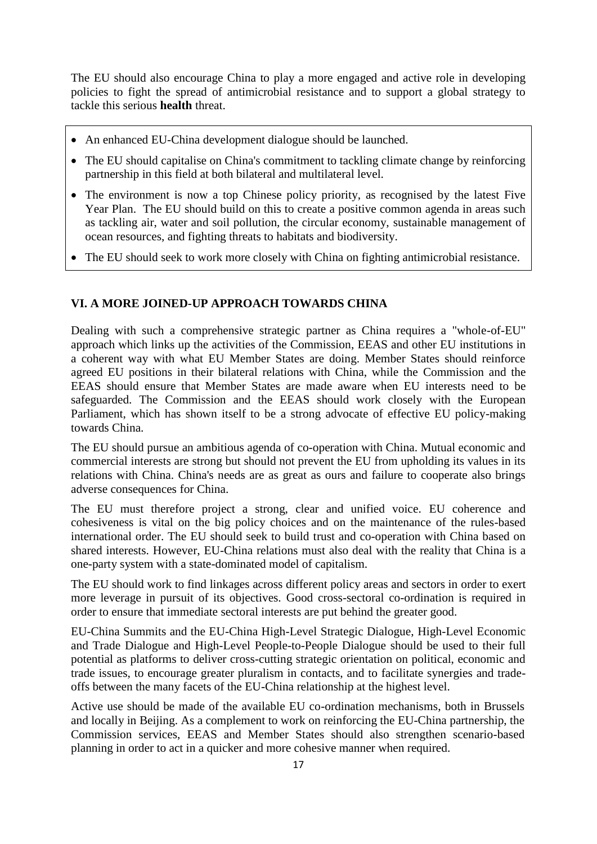The EU should also encourage China to play a more engaged and active role in developing policies to fight the spread of antimicrobial resistance and to support a global strategy to tackle this serious **health** threat.

- An enhanced EU-China development dialogue should be launched.
- The EU should capitalise on China's commitment to tackling climate change by reinforcing partnership in this field at both bilateral and multilateral level.
- The environment is now a top Chinese policy priority, as recognised by the latest Five Year Plan. The EU should build on this to create a positive common agenda in areas such as tackling air, water and soil pollution, the circular economy, sustainable management of ocean resources, and fighting threats to habitats and biodiversity.
- The EU should seek to work more closely with China on fighting antimicrobial resistance.

## **VI. A MORE JOINED-UP APPROACH TOWARDS CHINA**

Dealing with such a comprehensive strategic partner as China requires a "whole-of-EU" approach which links up the activities of the Commission, EEAS and other EU institutions in a coherent way with what EU Member States are doing. Member States should reinforce agreed EU positions in their bilateral relations with China, while the Commission and the EEAS should ensure that Member States are made aware when EU interests need to be safeguarded. The Commission and the EEAS should work closely with the European Parliament, which has shown itself to be a strong advocate of effective EU policy-making towards China.

The EU should pursue an ambitious agenda of co-operation with China. Mutual economic and commercial interests are strong but should not prevent the EU from upholding its values in its relations with China. China's needs are as great as ours and failure to cooperate also brings adverse consequences for China.

The EU must therefore project a strong, clear and unified voice. EU coherence and cohesiveness is vital on the big policy choices and on the maintenance of the rules-based international order. The EU should seek to build trust and co-operation with China based on shared interests. However, EU-China relations must also deal with the reality that China is a one-party system with a state-dominated model of capitalism.

The EU should work to find linkages across different policy areas and sectors in order to exert more leverage in pursuit of its objectives. Good cross-sectoral co-ordination is required in order to ensure that immediate sectoral interests are put behind the greater good.

EU-China Summits and the EU-China High-Level Strategic Dialogue, High-Level Economic and Trade Dialogue and High-Level People-to-People Dialogue should be used to their full potential as platforms to deliver cross-cutting strategic orientation on political, economic and trade issues, to encourage greater pluralism in contacts, and to facilitate synergies and tradeoffs between the many facets of the EU-China relationship at the highest level.

Active use should be made of the available EU co-ordination mechanisms, both in Brussels and locally in Beijing. As a complement to work on reinforcing the EU-China partnership, the Commission services, EEAS and Member States should also strengthen scenario-based planning in order to act in a quicker and more cohesive manner when required.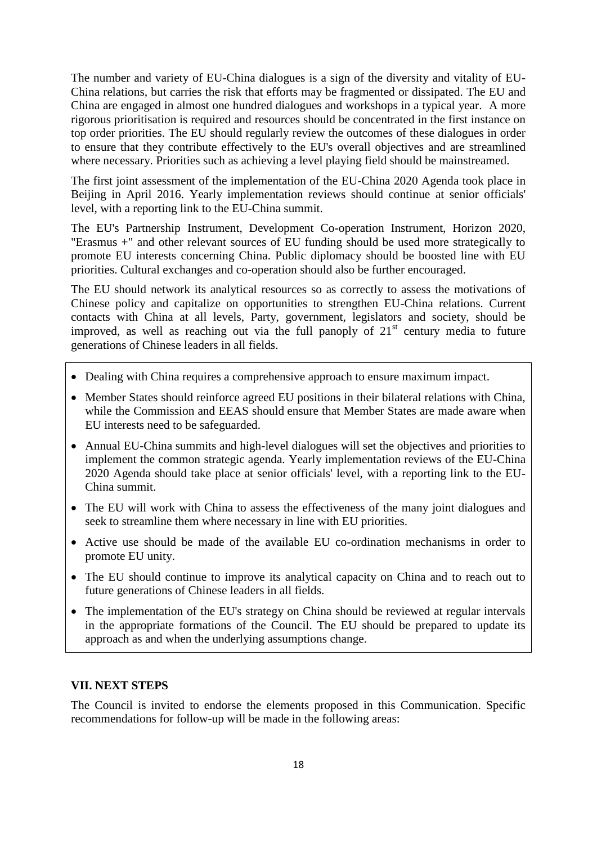The number and variety of EU-China dialogues is a sign of the diversity and vitality of EU-China relations, but carries the risk that efforts may be fragmented or dissipated. The EU and China are engaged in almost one hundred dialogues and workshops in a typical year. A more rigorous prioritisation is required and resources should be concentrated in the first instance on top order priorities. The EU should regularly review the outcomes of these dialogues in order to ensure that they contribute effectively to the EU's overall objectives and are streamlined where necessary. Priorities such as achieving a level playing field should be mainstreamed.

The first joint assessment of the implementation of the EU-China 2020 Agenda took place in Beijing in April 2016. Yearly implementation reviews should continue at senior officials' level, with a reporting link to the EU-China summit.

The EU's Partnership Instrument, Development Co-operation Instrument, Horizon 2020, "Erasmus +" and other relevant sources of EU funding should be used more strategically to promote EU interests concerning China. Public diplomacy should be boosted line with EU priorities. Cultural exchanges and co-operation should also be further encouraged.

The EU should network its analytical resources so as correctly to assess the motivations of Chinese policy and capitalize on opportunities to strengthen EU-China relations. Current contacts with China at all levels, Party, government, legislators and society, should be improved, as well as reaching out via the full panoply of  $21<sup>st</sup>$  century media to future generations of Chinese leaders in all fields.

- Dealing with China requires a comprehensive approach to ensure maximum impact.
- Member States should reinforce agreed EU positions in their bilateral relations with China, while the Commission and EEAS should ensure that Member States are made aware when EU interests need to be safeguarded.
- Annual EU-China summits and high-level dialogues will set the objectives and priorities to implement the common strategic agenda. Yearly implementation reviews of the EU-China 2020 Agenda should take place at senior officials' level, with a reporting link to the EU-China summit.
- The EU will work with China to assess the effectiveness of the many joint dialogues and seek to streamline them where necessary in line with EU priorities.
- Active use should be made of the available EU co-ordination mechanisms in order to promote EU unity.
- The EU should continue to improve its analytical capacity on China and to reach out to future generations of Chinese leaders in all fields.
- The implementation of the EU's strategy on China should be reviewed at regular intervals in the appropriate formations of the Council. The EU should be prepared to update its approach as and when the underlying assumptions change.

#### **VII. NEXT STEPS**

The Council is invited to endorse the elements proposed in this Communication. Specific recommendations for follow-up will be made in the following areas: